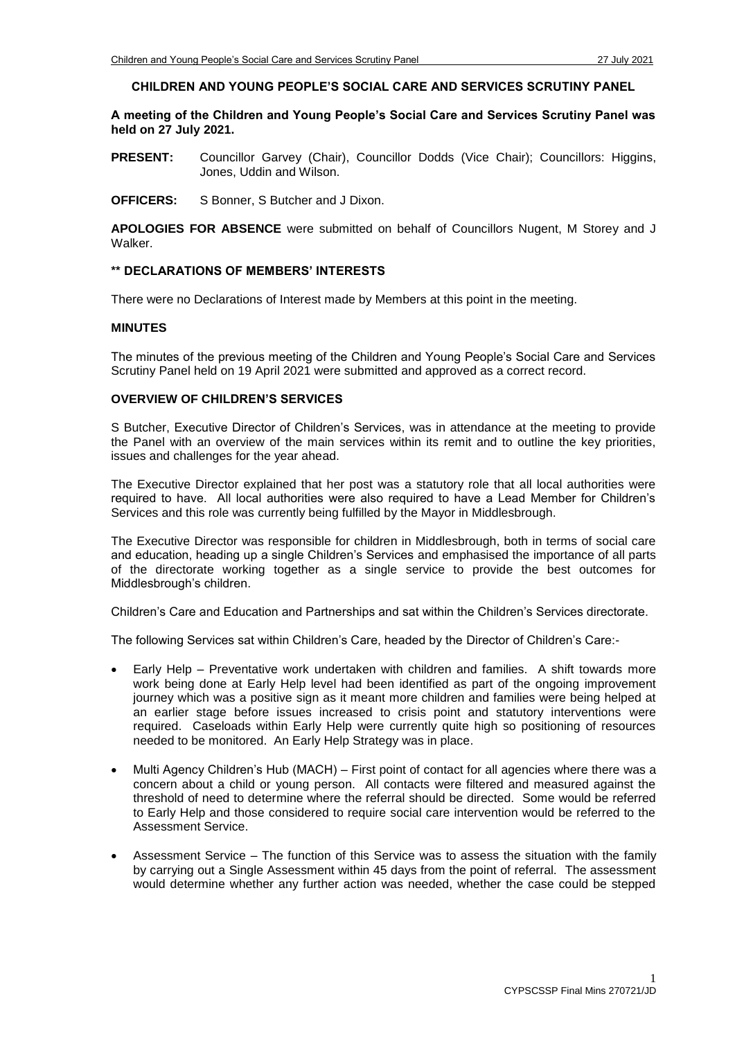# **CHILDREN AND YOUNG PEOPLE'S SOCIAL CARE AND SERVICES SCRUTINY PANEL**

**A meeting of the Children and Young People's Social Care and Services Scrutiny Panel was held on 27 July 2021.**

**PRESENT:** Councillor Garvey (Chair), Councillor Dodds (Vice Chair); Councillors: Higgins, Jones, Uddin and Wilson.

**OFFICERS:** S Bonner, S Butcher and J Dixon.

**APOLOGIES FOR ABSENCE** were submitted on behalf of Councillors Nugent, M Storey and J **Walker** 

#### **\*\* DECLARATIONS OF MEMBERS' INTERESTS**

There were no Declarations of Interest made by Members at this point in the meeting.

#### **MINUTES**

The minutes of the previous meeting of the Children and Young People's Social Care and Services Scrutiny Panel held on 19 April 2021 were submitted and approved as a correct record.

## **OVERVIEW OF CHILDREN'S SERVICES**

S Butcher, Executive Director of Children's Services, was in attendance at the meeting to provide the Panel with an overview of the main services within its remit and to outline the key priorities, issues and challenges for the year ahead.

The Executive Director explained that her post was a statutory role that all local authorities were required to have. All local authorities were also required to have a Lead Member for Children's Services and this role was currently being fulfilled by the Mayor in Middlesbrough.

The Executive Director was responsible for children in Middlesbrough, both in terms of social care and education, heading up a single Children's Services and emphasised the importance of all parts of the directorate working together as a single service to provide the best outcomes for Middlesbrough's children.

Children's Care and Education and Partnerships and sat within the Children's Services directorate.

The following Services sat within Children's Care, headed by the Director of Children's Care:-

- Early Help Preventative work undertaken with children and families. A shift towards more work being done at Early Help level had been identified as part of the ongoing improvement journey which was a positive sign as it meant more children and families were being helped at an earlier stage before issues increased to crisis point and statutory interventions were required. Caseloads within Early Help were currently quite high so positioning of resources needed to be monitored. An Early Help Strategy was in place.
- Multi Agency Children's Hub (MACH) First point of contact for all agencies where there was a concern about a child or young person. All contacts were filtered and measured against the threshold of need to determine where the referral should be directed. Some would be referred to Early Help and those considered to require social care intervention would be referred to the Assessment Service.
- Assessment Service The function of this Service was to assess the situation with the family by carrying out a Single Assessment within 45 days from the point of referral. The assessment would determine whether any further action was needed, whether the case could be stepped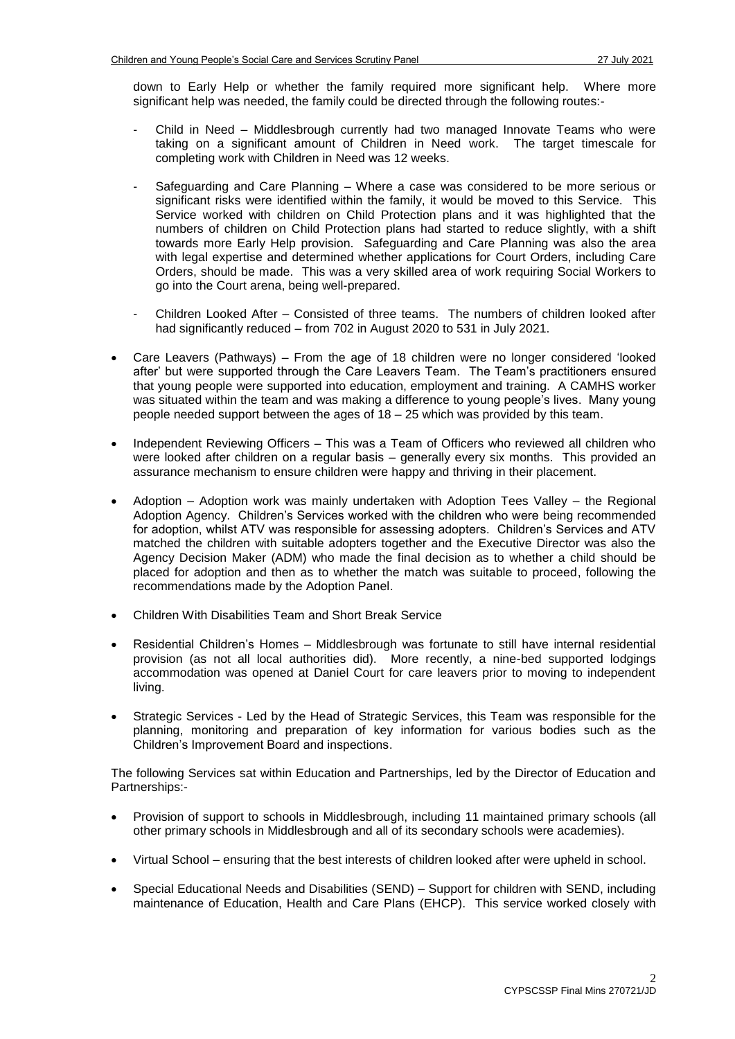down to Early Help or whether the family required more significant help. Where more significant help was needed, the family could be directed through the following routes:-

- Child in Need Middlesbrough currently had two managed Innovate Teams who were taking on a significant amount of Children in Need work. The target timescale for completing work with Children in Need was 12 weeks.
- Safeguarding and Care Planning Where a case was considered to be more serious or significant risks were identified within the family, it would be moved to this Service. This Service worked with children on Child Protection plans and it was highlighted that the numbers of children on Child Protection plans had started to reduce slightly, with a shift towards more Early Help provision. Safeguarding and Care Planning was also the area with legal expertise and determined whether applications for Court Orders, including Care Orders, should be made. This was a very skilled area of work requiring Social Workers to go into the Court arena, being well-prepared.
- Children Looked After Consisted of three teams. The numbers of children looked after had significantly reduced – from 702 in August 2020 to 531 in July 2021.
- Care Leavers (Pathways) From the age of 18 children were no longer considered 'looked after' but were supported through the Care Leavers Team. The Team's practitioners ensured that young people were supported into education, employment and training. A CAMHS worker was situated within the team and was making a difference to young people's lives. Many young people needed support between the ages of  $18 - 25$  which was provided by this team.
- Independent Reviewing Officers This was a Team of Officers who reviewed all children who were looked after children on a regular basis – generally every six months. This provided an assurance mechanism to ensure children were happy and thriving in their placement.
- Adoption Adoption work was mainly undertaken with Adoption Tees Valley the Regional Adoption Agency. Children's Services worked with the children who were being recommended for adoption, whilst ATV was responsible for assessing adopters. Children's Services and ATV matched the children with suitable adopters together and the Executive Director was also the Agency Decision Maker (ADM) who made the final decision as to whether a child should be placed for adoption and then as to whether the match was suitable to proceed, following the recommendations made by the Adoption Panel.
- Children With Disabilities Team and Short Break Service
- Residential Children's Homes Middlesbrough was fortunate to still have internal residential provision (as not all local authorities did). More recently, a nine-bed supported lodgings accommodation was opened at Daniel Court for care leavers prior to moving to independent living.
- Strategic Services Led by the Head of Strategic Services, this Team was responsible for the planning, monitoring and preparation of key information for various bodies such as the Children's Improvement Board and inspections.

The following Services sat within Education and Partnerships, led by the Director of Education and Partnerships:-

- Provision of support to schools in Middlesbrough, including 11 maintained primary schools (all other primary schools in Middlesbrough and all of its secondary schools were academies).
- Virtual School ensuring that the best interests of children looked after were upheld in school.
- Special Educational Needs and Disabilities (SEND) Support for children with SEND, including maintenance of Education, Health and Care Plans (EHCP). This service worked closely with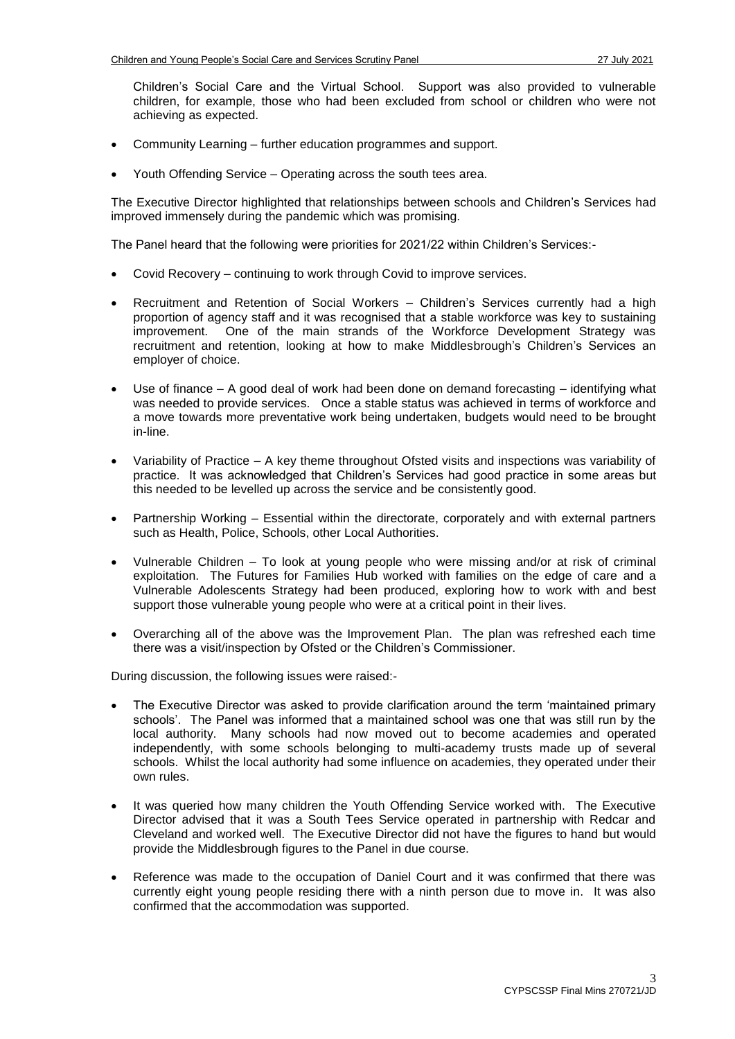Children's Social Care and the Virtual School. Support was also provided to vulnerable children, for example, those who had been excluded from school or children who were not achieving as expected.

- Community Learning further education programmes and support.
- Youth Offending Service Operating across the south tees area.

The Executive Director highlighted that relationships between schools and Children's Services had improved immensely during the pandemic which was promising.

The Panel heard that the following were priorities for 2021/22 within Children's Services:-

- Covid Recovery continuing to work through Covid to improve services.
- Recruitment and Retention of Social Workers Children's Services currently had a high proportion of agency staff and it was recognised that a stable workforce was key to sustaining improvement. One of the main strands of the Workforce Development Strategy was recruitment and retention, looking at how to make Middlesbrough's Children's Services an employer of choice.
- Use of finance  $A$  good deal of work had been done on demand forecasting  $-$  identifying what was needed to provide services. Once a stable status was achieved in terms of workforce and a move towards more preventative work being undertaken, budgets would need to be brought in-line.
- Variability of Practice A key theme throughout Ofsted visits and inspections was variability of practice. It was acknowledged that Children's Services had good practice in some areas but this needed to be levelled up across the service and be consistently good.
- Partnership Working Essential within the directorate, corporately and with external partners such as Health, Police, Schools, other Local Authorities.
- Vulnerable Children To look at young people who were missing and/or at risk of criminal exploitation. The Futures for Families Hub worked with families on the edge of care and a Vulnerable Adolescents Strategy had been produced, exploring how to work with and best support those vulnerable young people who were at a critical point in their lives.
- Overarching all of the above was the Improvement Plan. The plan was refreshed each time there was a visit/inspection by Ofsted or the Children's Commissioner.

During discussion, the following issues were raised:-

- The Executive Director was asked to provide clarification around the term 'maintained primary schools'. The Panel was informed that a maintained school was one that was still run by the local authority. Many schools had now moved out to become academies and operated independently, with some schools belonging to multi-academy trusts made up of several schools. Whilst the local authority had some influence on academies, they operated under their own rules.
- It was queried how many children the Youth Offending Service worked with. The Executive Director advised that it was a South Tees Service operated in partnership with Redcar and Cleveland and worked well. The Executive Director did not have the figures to hand but would provide the Middlesbrough figures to the Panel in due course.
- Reference was made to the occupation of Daniel Court and it was confirmed that there was currently eight young people residing there with a ninth person due to move in. It was also confirmed that the accommodation was supported.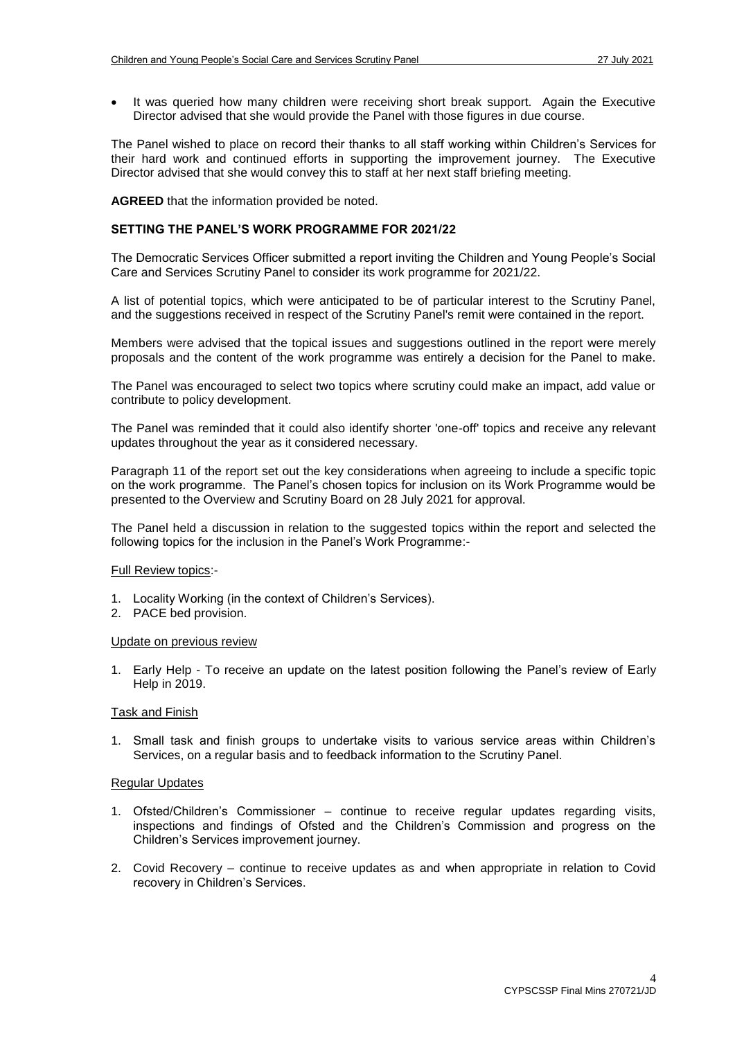It was queried how many children were receiving short break support. Again the Executive Director advised that she would provide the Panel with those figures in due course.

The Panel wished to place on record their thanks to all staff working within Children's Services for their hard work and continued efforts in supporting the improvement journey. The Executive Director advised that she would convey this to staff at her next staff briefing meeting.

**AGREED** that the information provided be noted.

### **SETTING THE PANEL'S WORK PROGRAMME FOR 2021/22**

The Democratic Services Officer submitted a report inviting the Children and Young People's Social Care and Services Scrutiny Panel to consider its work programme for 2021/22.

A list of potential topics, which were anticipated to be of particular interest to the Scrutiny Panel, and the suggestions received in respect of the Scrutiny Panel's remit were contained in the report.

Members were advised that the topical issues and suggestions outlined in the report were merely proposals and the content of the work programme was entirely a decision for the Panel to make.

The Panel was encouraged to select two topics where scrutiny could make an impact, add value or contribute to policy development.

The Panel was reminded that it could also identify shorter 'one-off' topics and receive any relevant updates throughout the year as it considered necessary.

Paragraph 11 of the report set out the key considerations when agreeing to include a specific topic on the work programme. The Panel's chosen topics for inclusion on its Work Programme would be presented to the Overview and Scrutiny Board on 28 July 2021 for approval.

The Panel held a discussion in relation to the suggested topics within the report and selected the following topics for the inclusion in the Panel's Work Programme:-

### Full Review topics:-

- 1. Locality Working (in the context of Children's Services).
- 2. PACE bed provision.

### Update on previous review

1. Early Help - To receive an update on the latest position following the Panel's review of Early Help in 2019.

### Task and Finish

1. Small task and finish groups to undertake visits to various service areas within Children's Services, on a regular basis and to feedback information to the Scrutiny Panel.

### Regular Updates

- 1. Ofsted/Children's Commissioner continue to receive regular updates regarding visits, inspections and findings of Ofsted and the Children's Commission and progress on the Children's Services improvement journey.
- 2. Covid Recovery continue to receive updates as and when appropriate in relation to Covid recovery in Children's Services.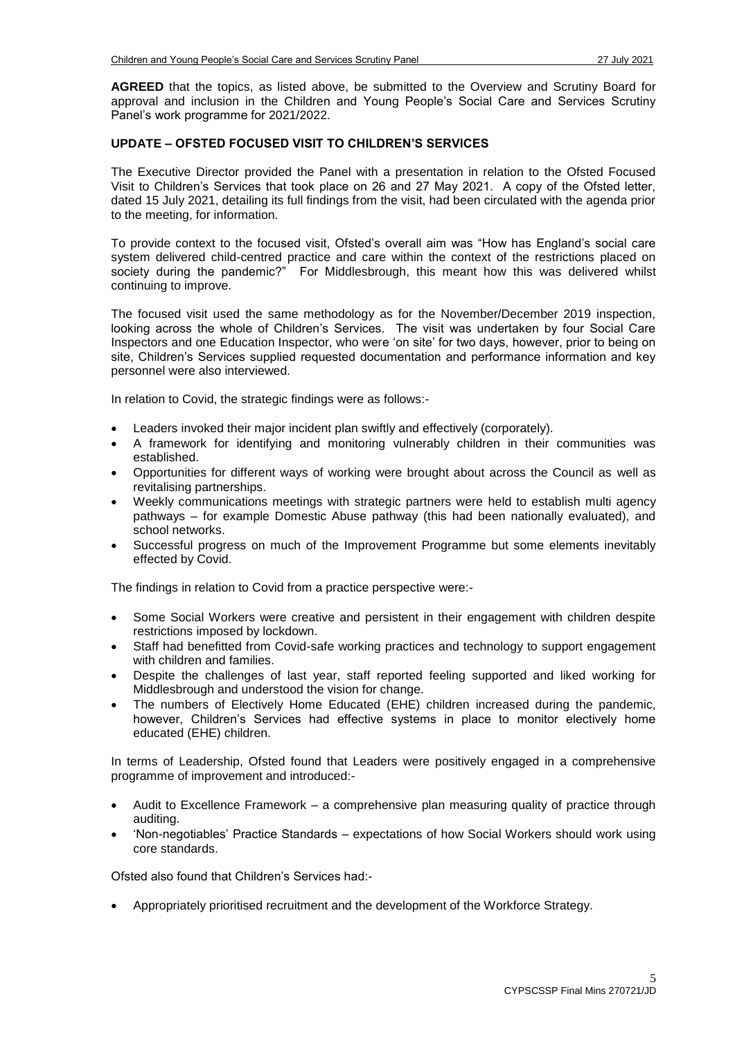**AGREED** that the topics, as listed above, be submitted to the Overview and Scrutiny Board for approval and inclusion in the Children and Young People's Social Care and Services Scrutiny Panel's work programme for 2021/2022.

# **UPDATE – OFSTED FOCUSED VISIT TO CHILDREN'S SERVICES**

The Executive Director provided the Panel with a presentation in relation to the Ofsted Focused Visit to Children's Services that took place on 26 and 27 May 2021. A copy of the Ofsted letter, dated 15 July 2021, detailing its full findings from the visit, had been circulated with the agenda prior to the meeting, for information.

To provide context to the focused visit, Ofsted's overall aim was "How has England's social care system delivered child-centred practice and care within the context of the restrictions placed on society during the pandemic?" For Middlesbrough, this meant how this was delivered whilst continuing to improve.

The focused visit used the same methodology as for the November/December 2019 inspection, looking across the whole of Children's Services. The visit was undertaken by four Social Care Inspectors and one Education Inspector, who were 'on site' for two days, however, prior to being on site, Children's Services supplied requested documentation and performance information and key personnel were also interviewed.

In relation to Covid, the strategic findings were as follows:-

- Leaders invoked their major incident plan swiftly and effectively (corporately).
- A framework for identifying and monitoring vulnerably children in their communities was established.
- Opportunities for different ways of working were brought about across the Council as well as revitalising partnerships.
- Weekly communications meetings with strategic partners were held to establish multi agency pathways – for example Domestic Abuse pathway (this had been nationally evaluated), and school networks.
- Successful progress on much of the Improvement Programme but some elements inevitably effected by Covid.

The findings in relation to Covid from a practice perspective were:-

- Some Social Workers were creative and persistent in their engagement with children despite restrictions imposed by lockdown.
- Staff had benefitted from Covid-safe working practices and technology to support engagement with children and families.
- Despite the challenges of last year, staff reported feeling supported and liked working for Middlesbrough and understood the vision for change.
- The numbers of Electively Home Educated (EHE) children increased during the pandemic, however, Children's Services had effective systems in place to monitor electively home educated (EHE) children.

In terms of Leadership, Ofsted found that Leaders were positively engaged in a comprehensive programme of improvement and introduced:-

- Audit to Excellence Framework a comprehensive plan measuring quality of practice through auditing.
- 'Non-negotiables' Practice Standards expectations of how Social Workers should work using core standards.

Ofsted also found that Children's Services had:-

Appropriately prioritised recruitment and the development of the Workforce Strategy.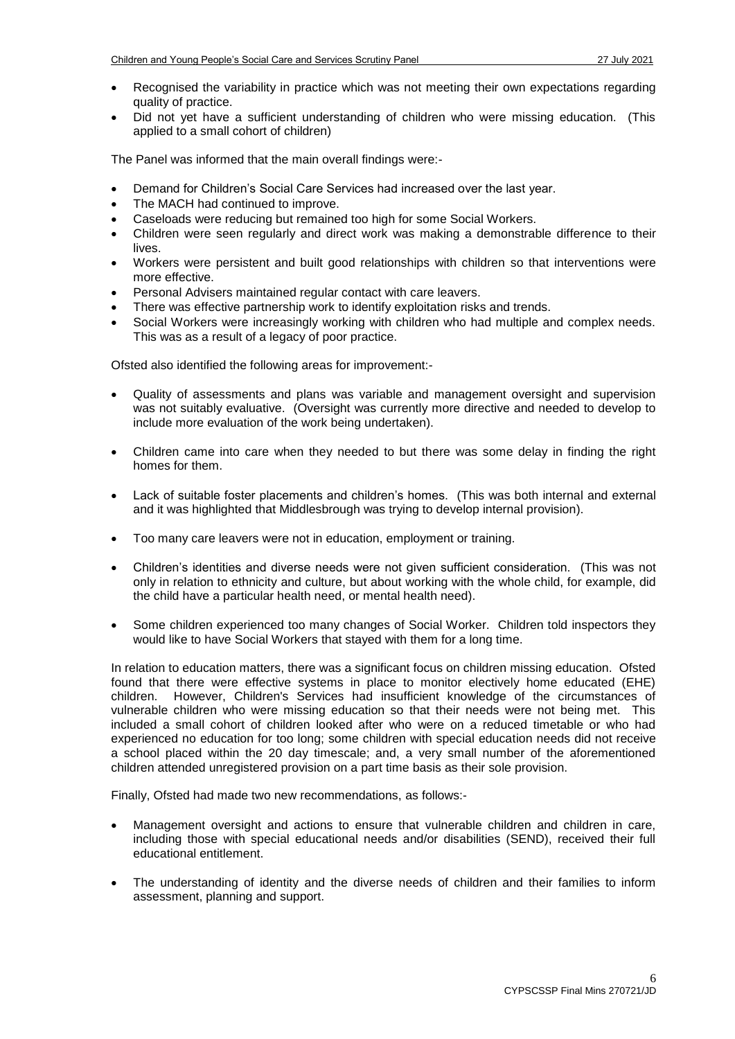- Recognised the variability in practice which was not meeting their own expectations regarding quality of practice.
- Did not yet have a sufficient understanding of children who were missing education. (This applied to a small cohort of children)

The Panel was informed that the main overall findings were:-

- Demand for Children's Social Care Services had increased over the last year.
- The MACH had continued to improve.
- Caseloads were reducing but remained too high for some Social Workers.
- Children were seen regularly and direct work was making a demonstrable difference to their lives.
- Workers were persistent and built good relationships with children so that interventions were more effective.
- Personal Advisers maintained regular contact with care leavers.
- There was effective partnership work to identify exploitation risks and trends.
- Social Workers were increasingly working with children who had multiple and complex needs. This was as a result of a legacy of poor practice.

Ofsted also identified the following areas for improvement:-

- Quality of assessments and plans was variable and management oversight and supervision was not suitably evaluative. (Oversight was currently more directive and needed to develop to include more evaluation of the work being undertaken).
- Children came into care when they needed to but there was some delay in finding the right homes for them.
- Lack of suitable foster placements and children's homes. (This was both internal and external and it was highlighted that Middlesbrough was trying to develop internal provision).
- Too many care leavers were not in education, employment or training.
- Children's identities and diverse needs were not given sufficient consideration. (This was not only in relation to ethnicity and culture, but about working with the whole child, for example, did the child have a particular health need, or mental health need).
- Some children experienced too many changes of Social Worker. Children told inspectors they would like to have Social Workers that stayed with them for a long time.

In relation to education matters, there was a significant focus on children missing education. Ofsted found that there were effective systems in place to monitor electively home educated (EHE) children. However, Children's Services had insufficient knowledge of the circumstances of vulnerable children who were missing education so that their needs were not being met. This included a small cohort of children looked after who were on a reduced timetable or who had experienced no education for too long; some children with special education needs did not receive a school placed within the 20 day timescale; and, a very small number of the aforementioned children attended unregistered provision on a part time basis as their sole provision.

Finally, Ofsted had made two new recommendations, as follows:-

- Management oversight and actions to ensure that vulnerable children and children in care, including those with special educational needs and/or disabilities (SEND), received their full educational entitlement.
- The understanding of identity and the diverse needs of children and their families to inform assessment, planning and support.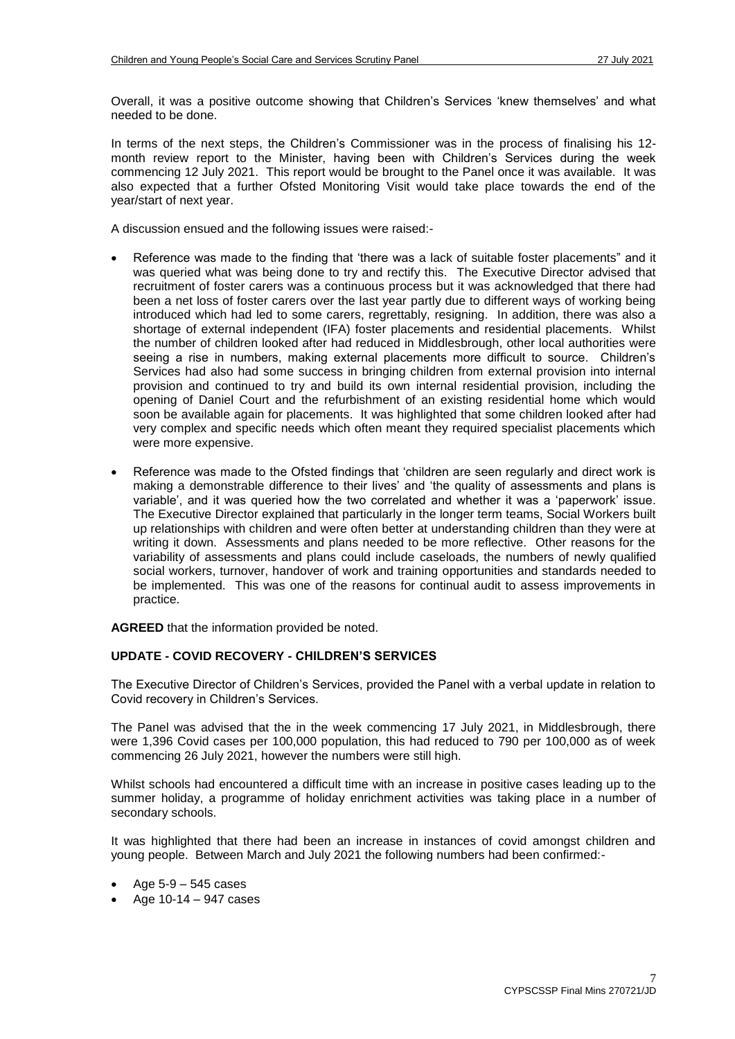Overall, it was a positive outcome showing that Children's Services 'knew themselves' and what needed to be done.

In terms of the next steps, the Children's Commissioner was in the process of finalising his 12 month review report to the Minister, having been with Children's Services during the week commencing 12 July 2021. This report would be brought to the Panel once it was available. It was also expected that a further Ofsted Monitoring Visit would take place towards the end of the year/start of next year.

A discussion ensued and the following issues were raised:-

- Reference was made to the finding that 'there was a lack of suitable foster placements" and it was queried what was being done to try and rectify this. The Executive Director advised that recruitment of foster carers was a continuous process but it was acknowledged that there had been a net loss of foster carers over the last year partly due to different ways of working being introduced which had led to some carers, regrettably, resigning. In addition, there was also a shortage of external independent (IFA) foster placements and residential placements. Whilst the number of children looked after had reduced in Middlesbrough, other local authorities were seeing a rise in numbers, making external placements more difficult to source. Children's Services had also had some success in bringing children from external provision into internal provision and continued to try and build its own internal residential provision, including the opening of Daniel Court and the refurbishment of an existing residential home which would soon be available again for placements. It was highlighted that some children looked after had very complex and specific needs which often meant they required specialist placements which were more expensive.
- Reference was made to the Ofsted findings that 'children are seen regularly and direct work is making a demonstrable difference to their lives' and 'the quality of assessments and plans is variable', and it was queried how the two correlated and whether it was a 'paperwork' issue. The Executive Director explained that particularly in the longer term teams, Social Workers built up relationships with children and were often better at understanding children than they were at writing it down. Assessments and plans needed to be more reflective. Other reasons for the variability of assessments and plans could include caseloads, the numbers of newly qualified social workers, turnover, handover of work and training opportunities and standards needed to be implemented. This was one of the reasons for continual audit to assess improvements in practice.

**AGREED** that the information provided be noted.

# **UPDATE - COVID RECOVERY - CHILDREN'S SERVICES**

The Executive Director of Children's Services, provided the Panel with a verbal update in relation to Covid recovery in Children's Services.

The Panel was advised that the in the week commencing 17 July 2021, in Middlesbrough, there were 1,396 Covid cases per 100,000 population, this had reduced to 790 per 100,000 as of week commencing 26 July 2021, however the numbers were still high.

Whilst schools had encountered a difficult time with an increase in positive cases leading up to the summer holiday, a programme of holiday enrichment activities was taking place in a number of secondary schools.

It was highlighted that there had been an increase in instances of covid amongst children and young people. Between March and July 2021 the following numbers had been confirmed:-

- Age 5-9 545 cases
- $\bullet$  Age 10-14 947 cases